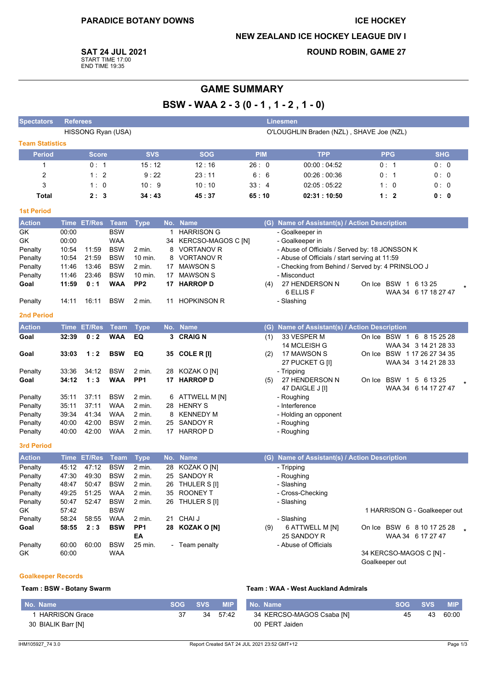#### **ICE HOCKEY**

#### **NEW ZEALAND ICE HOCKEY LEAGUE DIV I**

**SAT 24 JUL 2021** 

START TIME 17:00<br>END TIME 19:35

## **ROUND ROBIN, GAME 27**

# **GAME SUMMARY**

BSW - WAA 2 - 3 (0 - 1, 1 - 2, 1 - 0)

| <b>Spectators</b>      | <b>Referees</b><br><b>Linesmen</b>                             |               |             |                       |    |                       |            |                                                  |                            |                               |
|------------------------|----------------------------------------------------------------|---------------|-------------|-----------------------|----|-----------------------|------------|--------------------------------------------------|----------------------------|-------------------------------|
|                        | HISSONG Ryan (USA)<br>O'LOUGHLIN Braden (NZL), SHAVE Joe (NZL) |               |             |                       |    |                       |            |                                                  |                            |                               |
| <b>Team Statistics</b> |                                                                |               |             |                       |    |                       |            |                                                  |                            |                               |
| <b>Period</b>          |                                                                | <b>Score</b>  |             | <b>SVS</b>            |    | <b>SOG</b>            | <b>PIM</b> | <b>TPP</b>                                       | <b>PPG</b>                 | <b>SHG</b>                    |
| 1                      |                                                                | 0:1           |             | 15:12                 |    | 12:16                 | 26:0       | 00:00:04:52                                      | 0: 1                       | 0:0                           |
| $\overline{2}$         |                                                                | 1:2           |             | 9:22                  |    | 23:11                 | 6:6        | 00:26:00:36                                      | 0: 1                       | 0: 0                          |
| 3                      |                                                                | 1:0           |             | 10:9                  |    | 10:10                 | 33:4       | 02:05:05:22                                      | 1:0                        | 0: 0                          |
| Total                  |                                                                | 2:3           |             | 34:43                 |    | 45:37                 | 65:10      | 02:31:10:50                                      | 1:2                        | 0: 0                          |
| <b>1st Period</b>      |                                                                |               |             |                       |    |                       |            |                                                  |                            |                               |
| <b>Action</b>          |                                                                | Time ET/Res   | Team        | <b>Type</b>           |    | No. Name              |            | (G) Name of Assistant(s) / Action Description    |                            |                               |
| GK                     | 00:00                                                          |               | <b>BSW</b>  |                       |    | 1 HARRISON G          |            | - Goalkeeper in                                  |                            |                               |
| GK                     | 00:00                                                          |               | <b>WAA</b>  |                       |    | 34 KERCSO-MAGOS C [N] |            | - Goalkeeper in                                  |                            |                               |
| Penalty                | 10:54                                                          | 11:59         | <b>BSW</b>  | 2 min.                |    | 8 VORTANOV R          |            | - Abuse of Officials / Served by: 18 JONSSON K   |                            |                               |
| Penalty                | 10:54                                                          | 21:59         | <b>BSW</b>  | 10 min.               |    | 8 VORTANOV R          |            | - Abuse of Officials / start serving at 11:59    |                            |                               |
| Penalty                | 11:46                                                          | 13:46         | <b>BSW</b>  | 2 min.                | 17 | <b>MAWSON S</b>       |            | - Checking from Behind / Served by: 4 PRINSLOO J |                            |                               |
| Penalty                | 11:46                                                          | 23:46         | <b>BSW</b>  | 10 min.               | 17 | <b>MAWSON S</b>       |            | - Misconduct                                     |                            |                               |
| Goal                   | 11:59                                                          | 0:1           | <b>WAA</b>  | PP <sub>2</sub>       | 17 | <b>HARROP D</b>       | (4)        | 27 HENDERSON N                                   | On Ice BSW 1 6 13 25       |                               |
|                        |                                                                |               |             |                       |    |                       |            | 6 ELLIS F                                        |                            | WAA 34 6 17 18 27 47          |
| Penalty                | 14:11                                                          | 16:11         | <b>BSW</b>  | 2 min.                |    | 11 HOPKINSON R        |            | - Slashing                                       |                            |                               |
| <b>2nd Period</b>      |                                                                |               |             |                       |    |                       |            |                                                  |                            |                               |
| <b>Action</b>          | Time                                                           | <b>ET/Res</b> | <b>Team</b> | <b>Type</b>           |    | No. Name              | (G)        | Name of Assistant(s) / Action Description        |                            |                               |
| Goal                   | 32:39                                                          | 0:2           | <b>WAA</b>  | EQ                    |    | 3 CRAIGN              | (1)        | 33 VESPER M                                      | On Ice BSW 1 6 8 15 25 28  |                               |
|                        |                                                                |               |             |                       |    |                       |            | 14 MCLEISH G                                     |                            | WAA 34 3 14 21 28 33          |
| Goal                   | 33:03                                                          | 1:2           | <b>BSW</b>  | EQ                    |    | 35 COLE R [I]         | (2)        | 17 MAWSON S<br>27 PUCKET G [I]                   | On Ice BSW 117 26 27 34 35 | WAA 34 3 14 21 28 33          |
| Penalty                | 33:36                                                          | 34:12         | <b>BSW</b>  | 2 min.                |    | 28 KOZAK O [N]        |            | - Tripping                                       |                            |                               |
| Goal                   | 34:12                                                          | 1:3           | <b>WAA</b>  | PP <sub>1</sub>       |    | 17 HARROP D           | (5)        | 27 HENDERSON N                                   | On Ice BSW 1 5 6 13 25     |                               |
|                        |                                                                |               |             |                       |    |                       |            | 47 DAIGLE J [I]                                  |                            | WAA 34 6 14 17 27 47          |
| Penalty                | 35:11                                                          | 37:11         | <b>BSW</b>  | 2 min.                |    | 6 ATTWELL M [N]       |            | - Roughing                                       |                            |                               |
| Penalty                | 35:11                                                          | 37:11         | <b>WAA</b>  | 2 min.                |    | 28 HENRY S            |            | - Interference                                   |                            |                               |
| Penalty                | 39:34                                                          | 41:34         | <b>WAA</b>  | 2 min.                |    | 8 KENNEDY M           |            | - Holding an opponent                            |                            |                               |
| Penalty                | 40:00                                                          | 42:00         | <b>BSW</b>  | 2 min.                | 25 | SANDOY R              |            | - Roughing                                       |                            |                               |
| Penalty                | 40:00                                                          | 42:00         | <b>WAA</b>  | 2 min.                |    | 17 HARROP D           |            | - Roughing                                       |                            |                               |
| <b>3rd Period</b>      |                                                                |               |             |                       |    |                       |            |                                                  |                            |                               |
| <b>Action</b>          |                                                                | Time ET/Res   | Team        | <b>Type</b>           |    | No. Name              |            | (G) Name of Assistant(s) / Action Description    |                            |                               |
| Penalty                | 45:12                                                          | 47:12         | <b>BSW</b>  | 2 min.                | 28 | KOZAK O [N]           |            | - Tripping                                       |                            |                               |
| Penalty                | 47:30                                                          | 49:30         | <b>BSW</b>  | 2 min.                |    | 25 SANDOY R           |            | - Roughing                                       |                            |                               |
| Penalty                | 48:47                                                          | 50:47         | <b>BSW</b>  | 2 min.                |    | 26 THULER S [I]       |            | Slashing                                         |                            |                               |
| Penalty                | 49:25                                                          | 51:25         | WAA         | 2 min.                |    | 35 ROONEY T           |            | - Cross-Checking                                 |                            |                               |
| Penalty                | 50:47                                                          | 52:47         | <b>BSW</b>  | 2 min.                |    | 26 THULER S [I]       |            | - Slashing                                       |                            |                               |
| GK                     | 57:42                                                          |               | <b>BSW</b>  |                       |    |                       |            |                                                  |                            | 1 HARRISON G - Goalkeeper out |
| Penalty                | 58:24                                                          | 58:55         | <b>WAA</b>  | 2 min.                |    | 21 CHAI J             |            | - Slashing                                       |                            |                               |
| Goal                   | 58:55                                                          | 2:3           | <b>BSW</b>  | PP <sub>1</sub><br>EA |    | 28 KOZAK O [N]        | (9)        | 6 ATTWELL M [N]<br>25 SANDOY R                   | On Ice BSW 6 8 10 17 25 28 | WAA 34 6 17 27 47             |
| Penalty                | 60:00                                                          | 60:00         | <b>BSW</b>  | 25 min.               |    | - Team penalty        |            | - Abuse of Officials                             |                            |                               |
| GK                     | 60:00                                                          |               | <b>WAA</b>  |                       |    |                       |            |                                                  | 34 KERCSO-MAGOS C [N] -    |                               |
|                        |                                                                |               |             |                       |    |                       |            |                                                  | Goalkeeper out             |                               |

#### **Goalkeeper Records**

#### Team: BSW - Botany Swarm

| l No. Name         |     | SOG SVS MIP |          |
|--------------------|-----|-------------|----------|
| 1 HARRISON Grace   | -37 |             | 34 57:42 |
| 30 BIALIK Barr [N] |     |             |          |

| No. Name                  |    | SOG SVS MIP |          |
|---------------------------|----|-------------|----------|
| 34 KERCSO-MAGOS Csaba [N] | 45 |             | 43 60:00 |
| 00 PERT Jaiden            |    |             |          |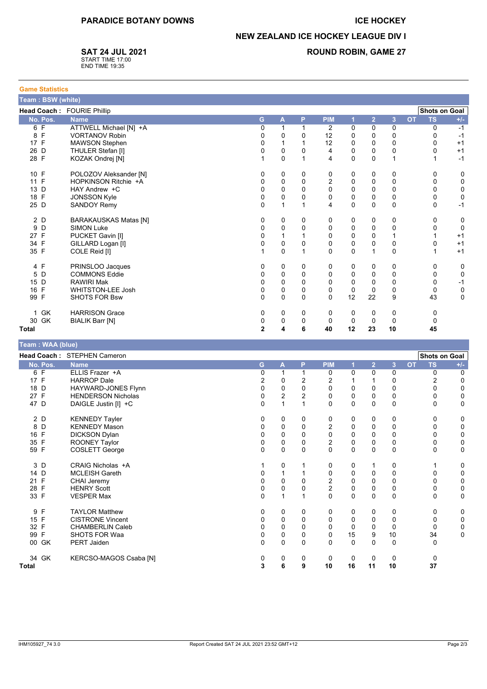### **ICE HOCKEY**

**ROUND ROBIN, GAME 27** 

## **NEW ZEALAND ICE HOCKEY LEAGUE DIV I**

**SAT 24 JUL 2021** 

START TIME 17:00<br>END TIME 19:35

| <b>Game Statistics</b>                             |                              |                |                         |              |                         |             |                |                |           |           |       |
|----------------------------------------------------|------------------------------|----------------|-------------------------|--------------|-------------------------|-------------|----------------|----------------|-----------|-----------|-------|
| Team: BSW (white)                                  |                              |                |                         |              |                         |             |                |                |           |           |       |
| <b>Shots on Goal</b><br>Head Coach: FOURIE Phillip |                              |                |                         |              |                         |             |                |                |           |           |       |
| No. Pos.                                           | <b>Name</b>                  | G              | $\overline{\mathsf{A}}$ | P.           | <b>PIM</b>              | 1           | $\overline{2}$ | $\overline{3}$ | <b>OT</b> | <b>TS</b> | $+/-$ |
| 6 F                                                | ATTWELL Michael [N] +A       | 0              | 1                       | 1            | 2                       | 0           | 0              | $\mathbf 0$    |           | $\Omega$  | $-1$  |
| 8 F                                                | <b>VORTANOV Robin</b>        | 0              | 0                       | $\Omega$     | 12                      | 0           | 0              | 0              |           | 0         | $-1$  |
| 17 F                                               | <b>MAWSON Stephen</b>        | 0              | $\mathbf{1}$            |              | 12                      | 0           | 0              | 0              |           | 0         | $+1$  |
| 26 D                                               | THULER Stefan [I]            | $\mathbf 0$    | 0                       | $\mathbf{0}$ | $\overline{4}$          | $\mathbf 0$ | 0              | 0              |           | 0         | $+1$  |
| 28 F                                               | KOZAK Ondrej [N]             | 1              | $\mathbf{0}$            | 1            | 4                       | $\Omega$    | $\Omega$       | 1              |           | 1         | $-1$  |
| 10 F                                               | POLOZOV Aleksander [N]       | 0              | 0                       | 0            | 0                       | 0           | 0              | 0              |           | 0         | 0     |
| 11 F                                               | HOPKINSON Ritchie +A         | $\Omega$       | 0                       | $\mathbf 0$  | $\overline{2}$          | 0           | 0              | 0              |           | 0         | 0     |
| 13 D                                               | HAY Andrew +C                | 0              | $\Omega$                | $\Omega$     | $\mathbf{0}$            | $\Omega$    | $\Omega$       | $\mathbf 0$    |           | 0         | 0     |
| 18 F                                               | <b>JONSSON Kyle</b>          | 0              | 0                       | $\Omega$     | $\mathbf 0$             | 0           | 0              | 0              |           | 0         | 0     |
| 25 D                                               | <b>SANDOY Remy</b>           | 0              | $\mathbf{1}$            |              | $\overline{\mathbf{4}}$ | 0           | 0              | $\mathbf 0$    |           | 0         | $-1$  |
| 2 D                                                | <b>BARAKAUSKAS Matas [N]</b> | 0              | 0                       | 0            | 0                       | 0           | 0              | 0              |           | 0         | 0     |
| D<br>9                                             | <b>SIMON Luke</b>            | 0              | 0                       | $\Omega$     | 0                       | 0           | 0              | 0              |           | 0         | 0     |
| 27 F                                               | PUCKET Gavin [I]             | 0              | $\mathbf{1}$            |              | $\mathbf 0$             | 0           | 0              | 1              |           |           | $+1$  |
| 34 F                                               | GILLARD Logan [I]            | 0              | $\mathbf 0$             | $\Omega$     | $\mathbf 0$             | 0           | 0              | $\pmb{0}$      |           | 0         | $+1$  |
| 35 F                                               | COLE Reid [I]                |                | $\Omega$                | 1            | $\Omega$                | $\Omega$    | 1              | $\mathbf 0$    |           |           | $+1$  |
| 4 F                                                | PRINSLOO Jacques             | 0              | 0                       | 0            | 0                       | 0           | 0              | 0              |           | 0         | 0     |
| 5 D                                                | <b>COMMONS Eddie</b>         | $\Omega$       | $\mathbf 0$             | $\Omega$     | $\mathbf 0$             | $\Omega$    | 0              | 0              |           | 0         | 0     |
| 15 D                                               | <b>RAWIRI Mak</b>            | $\Omega$       | 0                       | $\Omega$     | $\Omega$                | 0           | 0              | 0              |           | 0         | $-1$  |
| 16 F                                               | <b>WHITSTON-LEE Josh</b>     | 0              | 0                       | $\Omega$     | 0                       | $\Omega$    | $\Omega$       | 0              |           | 0         | 0     |
| 99 F                                               | <b>SHOTS FOR Bsw</b>         | $\mathbf{0}$   | $\Omega$                | $\Omega$     | $\Omega$                | 12          | 22             | 9              |           | 43        | 0     |
| 1 GK                                               | <b>HARRISON Grace</b>        | 0              | 0                       | 0            | 0                       | 0           | 0              | 0              |           | 0         |       |
| 30 GK                                              | <b>BIALIK Barr [N]</b>       | 0              | 0                       | 0            | 0                       | 0           | 0              | 0              |           | 0         |       |
| <b>Total</b>                                       |                              | $\overline{2}$ | 4                       | 6            | 40                      | 12          | 23             | 10             |           | 45        |       |

| l eam : WAA (blue) |                             |          |                |                |                |             |                |                |                        |                      |
|--------------------|-----------------------------|----------|----------------|----------------|----------------|-------------|----------------|----------------|------------------------|----------------------|
|                    | Head Coach: STEPHEN Cameron |          |                |                |                |             |                |                |                        | <b>Shots on Goal</b> |
| No. Pos.           | <b>Name</b>                 | G        | $\mathsf{A}$   | P              | <b>PIM</b>     | 1           | $\overline{2}$ | $\overline{3}$ | <b>OT</b><br><b>TS</b> | $+/-$                |
| 6 F                | ELLIS Frazer +A             | 0        |                |                | 0              | 0           | 0              | 0              | 0                      | 0                    |
| 17 F               | <b>HARROP Dale</b>          | 2        | 0              | 2              | 2              |             |                | 0              | 2                      | $\Omega$             |
| 18 D               | HAYWARD-JONES Flynn         | 0        | $\mathbf 0$    | 0              | $\mathbf 0$    | 0           | 0              | 0              | 0                      | 0                    |
| 27 F               | <b>HENDERSON Nicholas</b>   | 0        | $\overline{2}$ | $\overline{2}$ | $\Omega$       | 0           | 0              | $\pmb{0}$      | 0                      | 0                    |
| 47 D               | DAIGLE Justin [I] +C        | $\Omega$ |                |                | $\mathbf{0}$   | 0           | 0              | 0              | 0                      | $\mathbf 0$          |
| 2 D                | <b>KENNEDY Tayler</b>       | 0        | 0              | 0              | 0              | 0           | 0              | 0              | 0                      | 0                    |
| 8 D                | <b>KENNEDY Mason</b>        | 0        | $\mathbf 0$    | 0              | 2              | 0           | $\Omega$       | 0              | 0                      | 0                    |
| 16 F               | <b>DICKSON Dylan</b>        | $\Omega$ | 0              | $\Omega$       | 0              | 0           | $\Omega$       | 0              | 0                      | $\mathbf 0$          |
| 35 F               | ROONEY Taylor               | 0        | 0              | 0              | $\overline{2}$ | 0           | 0              | 0              | 0                      | 0                    |
| 59 F               | <b>COSLETT George</b>       | $\Omega$ | 0              | $\Omega$       | $\Omega$       | 0           | 0              | $\mathbf 0$    | 0                      | $\Omega$             |
| 3 D                | CRAIG Nicholas +A           |          | 0              |                | 0              | 0           |                | 0              |                        | 0                    |
| 14 D               | <b>MCLEISH Gareth</b>       | 0        |                |                | 0              | 0           | 0              | $\mathbf 0$    | 0                      | 0                    |
| 21 F               | <b>CHAI Jeremy</b>          | 0        | 0              | 0              | $\overline{c}$ | 0           | 0              | $\mathbf 0$    | 0                      | 0                    |
| 28 F               | <b>HENRY Scott</b>          | 0        | 0              |                | $\overline{2}$ | $\mathbf 0$ | 0              | $\mathbf 0$    | 0                      | $\mathbf 0$          |
| 33 F               | <b>VESPER Max</b>           | $\Omega$ |                |                | $\Omega$       | $\Omega$    | $\Omega$       | $\mathbf 0$    | $\Omega$               | $\mathbf 0$          |
| 9 F                | <b>TAYLOR Matthew</b>       | 0        | 0              | 0              | 0              | 0           | 0              | 0              | 0                      | 0                    |
| 15 F               | <b>CISTRONE Vincent</b>     |          | 0              | 0              | 0              | 0           | 0              | $\mathbf 0$    | $\Omega$               | 0                    |
| 32 F               | <b>CHAMBERLIN Caleb</b>     |          | 0              | 0              | $\Omega$       | 0           | $\Omega$       | 0              | 0                      | 0                    |
| 99 F               | <b>SHOTS FOR Waa</b>        | 0        | 0              | $\Omega$       | $\Omega$       | 15          | 9              | 10             | 34                     | $\Omega$             |
| 00 GK              | PERT Jaiden                 | $\Omega$ | 0              | 0              | $\Omega$       | $\Omega$    | $\Omega$       | $\mathbf 0$    | 0                      |                      |
| 34 GK              | KERCSO-MAGOS Csaba [N]      | 0        | 0              | 0              | 0              | 0           | $\Omega$       | 0              | 0                      |                      |
| <b>Total</b>       |                             | 3        | 6              | 9              | 10             | 16          | 11             | 10             | 37                     |                      |